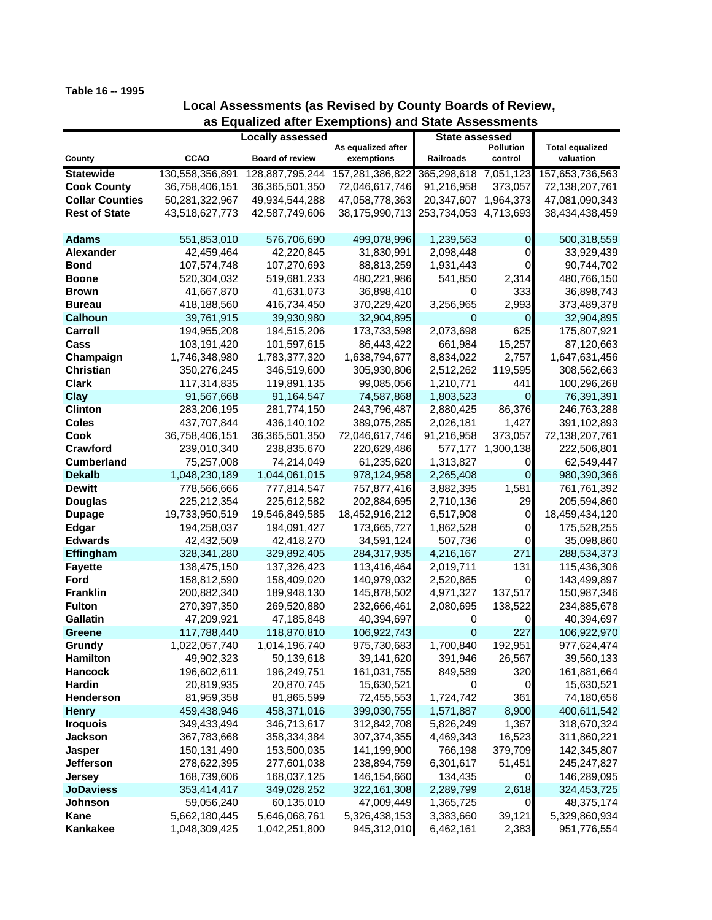## **Table 16 -- 1995**

## **Local Assessments (as Revised by County Boards of Review, as Equalized after Exemptions) and State Assessments**

|                        |                         |                        |                                  | State assessed        |                      |                                     |
|------------------------|-------------------------|------------------------|----------------------------------|-----------------------|----------------------|-------------------------------------|
|                        | <b>Locally assessed</b> |                        |                                  |                       |                      |                                     |
| County                 | <b>CCAO</b>             | <b>Board of review</b> | As equalized after<br>exemptions | Railroads             | Pollution<br>control | <b>Total equalized</b><br>valuation |
|                        |                         |                        |                                  |                       |                      |                                     |
| <b>Statewide</b>       | 130,558,356,891         | 128,887,795,244        | 157,281,386,822                  | 365,298,618 7,051,123 |                      | 157,653,736,563                     |
| <b>Cook County</b>     | 36,758,406,151          | 36, 365, 501, 350      | 72,046,617,746                   | 91,216,958            | 373,057              | 72,138,207,761                      |
| <b>Collar Counties</b> | 50,281,322,967          | 49,934,544,288         | 47,058,778,363                   | 20,347,607            | 1,964,373            | 47,081,090,343                      |
| <b>Rest of State</b>   | 43,518,627,773          | 42,587,749,606         | 38,175,990,713                   | 253,734,053           | 4,713,693            | 38,434,438,459                      |
| <b>Adams</b>           | 551,853,010             | 576,706,690            | 499,078,996                      | 1,239,563             | $\overline{0}$       | 500,318,559                         |
| <b>Alexander</b>       | 42,459,464              | 42,220,845             | 31,830,991                       | 2,098,448             | 0                    | 33,929,439                          |
|                        |                         |                        |                                  |                       | 0                    | 90,744,702                          |
| <b>Bond</b>            | 107,574,748             | 107,270,693            | 88,813,259                       | 1,931,443             |                      |                                     |
| <b>Boone</b>           | 520,304,032             | 519,681,233            | 480,221,986                      | 541,850               | 2,314                | 480,766,150                         |
| <b>Brown</b>           | 41,667,870              | 41,631,073             | 36,898,410                       | 0                     | 333                  | 36,898,743                          |
| <b>Bureau</b>          | 418,188,560             | 416,734,450            | 370,229,420                      | 3,256,965             | 2,993                | 373,489,378                         |
| <b>Calhoun</b>         | 39,761,915              | 39,930,980             | 32,904,895                       | 0                     | 0                    | 32,904,895                          |
| Carroll                | 194,955,208             | 194,515,206            | 173,733,598                      | 2,073,698             | 625                  | 175,807,921                         |
| Cass                   | 103,191,420             | 101,597,615            | 86,443,422                       | 661,984               | 15,257               | 87,120,663                          |
| Champaign              | 1,746,348,980           | 1,783,377,320          | 1,638,794,677                    | 8,834,022             | 2,757                | 1,647,631,456                       |
| <b>Christian</b>       | 350,276,245             | 346,519,600            | 305,930,806                      | 2,512,262             | 119,595              | 308,562,663                         |
| <b>Clark</b>           | 117,314,835             | 119,891,135            | 99,085,056                       | 1,210,771             | 441                  | 100,296,268                         |
| <b>Clay</b>            | 91,567,668              | 91,164,547             | 74,587,868                       | 1,803,523             | $\overline{0}$       | 76,391,391                          |
| <b>Clinton</b>         | 283,206,195             | 281,774,150            | 243,796,487                      | 2,880,425             | 86,376               | 246,763,288                         |
| <b>Coles</b>           | 437,707,844             | 436,140,102            | 389,075,285                      | 2,026,181             | 1,427                | 391,102,893                         |
| Cook                   | 36,758,406,151          | 36, 365, 501, 350      | 72,046,617,746                   | 91,216,958            | 373,057              | 72,138,207,761                      |
| Crawford               | 239,010,340             | 238,835,670            | 220,629,486                      | 577,177               | 1,300,138            | 222,506,801                         |
| <b>Cumberland</b>      | 75,257,008              | 74,214,049             | 61,235,620                       | 1,313,827             | O                    | 62,549,447                          |
| <b>Dekalb</b>          | 1,048,230,189           | 1,044,061,015          | 978,124,958                      | 2,265,408             | $\overline{0}$       | 980,390,366                         |
| <b>Dewitt</b>          | 778,566,666             | 777,814,547            | 757,877,416                      | 3,882,395             | 1,581                | 761,761,392                         |
| <b>Douglas</b>         | 225,212,354             | 225,612,582            | 202,884,695                      | 2,710,136             | 29                   | 205,594,860                         |
| <b>Dupage</b>          | 19,733,950,519          | 19,546,849,585         | 18,452,916,212                   | 6,517,908             | 0                    | 18,459,434,120                      |
| Edgar                  | 194,258,037             | 194,091,427            | 173,665,727                      | 1,862,528             | 0                    | 175,528,255                         |
| <b>Edwards</b>         | 42,432,509              | 42,418,270             | 34,591,124                       | 507,736               | 0                    | 35,098,860                          |
| Effingham              | 328, 341, 280           | 329,892,405            | 284,317,935                      | 4,216,167             | 271                  | 288,534,373                         |
| <b>Fayette</b>         | 138,475,150             | 137,326,423            | 113,416,464                      | 2,019,711             | 131                  | 115,436,306                         |
| Ford                   | 158,812,590             | 158,409,020            | 140,979,032                      | 2,520,865             | 0                    | 143,499,897                         |
| <b>Franklin</b>        | 200,882,340             | 189,948,130            | 145,878,502                      | 4,971,327             | 137,517              | 150,987,346                         |
| <b>Fulton</b>          | 270,397,350             | 269,520,880            | 232,666,461                      | 2,080,695             | 138,522              | 234,885,678                         |
| <b>Gallatin</b>        | 47,209,921              | 47,185,848             | 40,394,697                       | 0                     | 0                    | 40,394,697                          |
| Greene                 | 117,788,440             | 118,870,810            | 106,922,743                      | 0                     | 227                  | 106,922,970                         |
| Grundy                 | 1,022,057,740           | 1,014,196,740          | 975,730,683                      | 1,700,840             | 192,951              | 977,624,474                         |
| <b>Hamilton</b>        | 49,902,323              | 50,139,618             | 39,141,620                       | 391,946               | 26,567               | 39,560,133                          |
| <b>Hancock</b>         | 196,602,611             | 196,249,751            | 161,031,755                      | 849,589               | 320                  | 161,881,664                         |
| Hardin                 | 20,819,935              | 20,870,745             | 15,630,521                       | 0                     | 0                    | 15,630,521                          |
| Henderson              | 81,959,358              | 81,865,599             | 72,455,553                       | 1,724,742             | 361                  | 74,180,656                          |
| <b>Henry</b>           | 459,438,946             | 458,371,016            | 399,030,755                      | 1,571,887             | 8,900                | 400,611,542                         |
| <b>Iroquois</b>        | 349,433,494             | 346,713,617            | 312,842,708                      | 5,826,249             | 1,367                | 318,670,324                         |
| <b>Jackson</b>         | 367,783,668             | 358,334,384            | 307,374,355                      | 4,469,343             | 16,523               | 311,860,221                         |
| Jasper                 | 150,131,490             | 153,500,035            | 141,199,900                      | 766,198               | 379,709              | 142,345,807                         |
| <b>Jefferson</b>       | 278,622,395             | 277,601,038            | 238,894,759                      | 6,301,617             | 51,451               | 245,247,827                         |
| Jersey                 | 168,739,606             | 168,037,125            | 146,154,660                      | 134,435               | 0                    | 146,289,095                         |
| <b>JoDaviess</b>       | 353,414,417             | 349,028,252            | 322,161,308                      | 2,289,799             | 2,618                | 324,453,725                         |
| Johnson                | 59,056,240              | 60,135,010             | 47,009,449                       | 1,365,725             | 0                    | 48,375,174                          |
| Kane                   | 5,662,180,445           | 5,646,068,761          | 5,326,438,153                    | 3,383,660             | 39,121               | 5,329,860,934                       |
| <b>Kankakee</b>        | 1,048,309,425           | 1,042,251,800          | 945,312,010                      | 6,462,161             | 2,383                | 951,776,554                         |